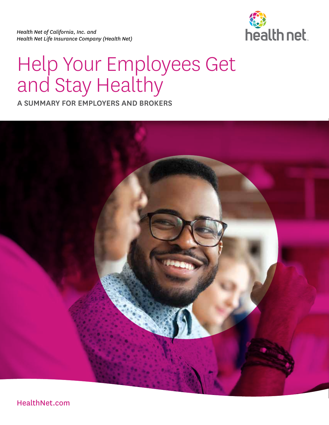*Health Net of California, Inc. and Health Net Life Insurance Company (Health Net)* 



# Help Your Employees Get and Stay Healthy

A SUMMARY FOR EMPLOYERS AND BROKERS



[HealthNet.com](http://HealthNet.com)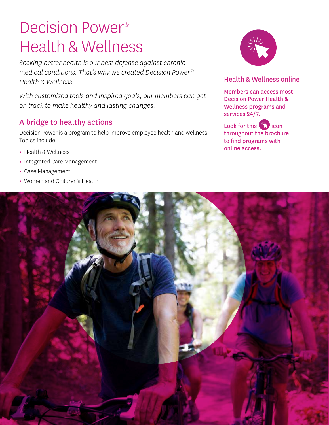# Decision Power® Health & Wellness

*Seeking better health is our best defense against chronic medical conditions. That's why we created Decision Power ® Health & Wellness.* 

*With customized tools and inspired goals, our members can get on track to make healthy and lasting changes.* 

# A bridge to healthy actions

Decision Power is a program to help improve employee health and wellness. Topics include:

- Health & Wellness
- Integrated Care Management
- Case Management
- Women and Children's Health



### Health & Wellness online

Members can access most Decision Power Health & Wellness programs and services 24/7.

Look for this  $\sqrt{2}$  icon throughout the brochure to find programs with online access.

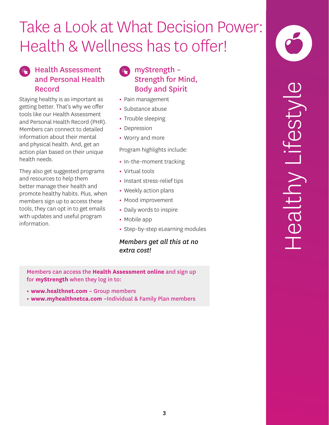# Take a Look at What Decision Power: Health & Wellness has to offer!

# Health Assessment and Personal Health Record

Staying healthy is as important as getting better. That's why we offer tools like our Health Assessment and Personal Health Record (PHR). Members can connect to detailed information about their mental and physical health. And, get an action plan based on their unique health needs.

They also get suggested programs and resources to help them better manage their health and promote healthy habits. Plus, when members sign up to access these tools, they can opt in to get emails with updates and useful program information.

# myStrength – Strength for Mind, Body and Spirit

- Pain management
- Substance abuse
- Trouble sleeping
- Depression
- Worry and more

Program highlights include:

- In-the-moment tracking
- Virtual tools
- Instant stress-relief tips
- Weekly action plans
- Mood improvement
- Daily words to inspire
- Mobile app
- Step-by-step eLearning modules

*Members get all this at no extra cost!* 

Members can access the **Health Assessment online** and sign up for **myStrength** when they log in to:

- **www.healthnet.com –** Group members
- **www.myhealthnetca.com –**Individual & Family Plan members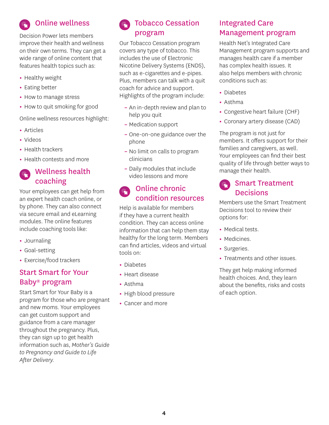

Decision Power lets members improve their health and wellness on their own terms. They can get a wide range of online content that features health topics such as:

- Healthy weight
- Eating better
- How to manage stress
- How to quit smoking for good

Online wellness resources highlight:

- Articles
- Videos
- Health trackers
- Health contests and more

# Wellness health coaching

Your employees can get help from an expert health coach online, or by phone. They can also connect via secure email and eLearning modules. The online features include coaching tools like:

- Journaling
- Goal-setting
- Exercise/food trackers

# Start Smart for Your Baby® program

Start Smart for Your Baby is a program for those who are pregnant and new moms. Your employees can get custom support and guidance from a care manager throughout the pregnancy. Plus, they can sign up to get health information such as, *Mother's Guide to Pregnancy and Guide to Life After Delivery.* 

# Tobacco Cessation program

Our Tobacco Cessation program covers any type of tobacco. This includes the use of Electronic Nicotine Delivery Systems (ENDS), such as e-cigarettes and e-pipes. Plus, members can talk with a quit coach for advice and support. Highlights of the program include:

- An in-depth review and plan to help you quit
- Medication support
- One-on-one guidance over the phone
- No limit on calls to program clinicians
- Daily modules that include video lessons and more

#### Online chronic  $\frac{1}{2}$ condition resources

Help is available for members if they have a current health condition. They can access online information that can help them stay healthy for the long term. Members can find articles, videos and virtual tools on:

- Diabetes
- Heart disease
- Asthma
- High blood pressure
- Cancer and more

# Integrated Care Management program

Health Net's Integrated Care Management program supports and manages health care if a member has complex health issues. It also helps members with chronic conditions such as:

- Diabetes
- Asthma
- Congestive heart failure (CHF)
- Coronary artery disease (CAD)

The program is not just for members. It offers support for their families and caregivers, as well. Your employees can find their best quality of life through better ways to manage their health.

# Smart Treatment **Decisions**

Members use the Smart Treatment Decisions tool to review their options for:

- Medical tests.
- Medicines.
- Surgeries.
- Treatments and other issues.

They get help making informed health choices. And, they learn about the benefits, risks and costs of each option.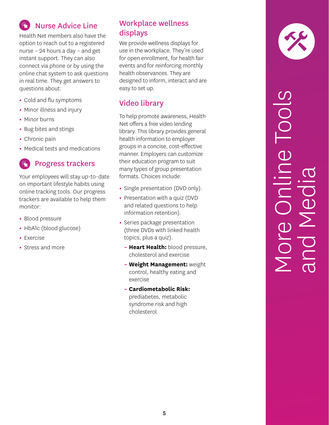# Nurse Advice Line

Health Net members also have the option to reach out to a registered nurse – 24 hours a day – and get instant support. They can also connect via phone or by using the online chat system to ask questions in real time. They get answers to questions about:

- Cold and flu symptoms
- Minor illness and injury
- Minor burns
- Bug bites and stings
- Chronic pain
- Medical tests and medications

# Progress trackers

Your employees will stay up-to-date on important lifestyle habits using online tracking tools. Our progress trackers are available to help them monitor:

- Blood pressure
- HbA1c (blood glucose)
- Exercise
- Stress and more

# Workplace wellness displays

We provide wellness displays for use in the workplace. They're used for open enrollment, for health fair events and for reinforcing monthly health observances. They are designed to inform, interact and are easy to set up.

# Video library

To help promote awareness, Health Net offers a free video lending library. This library provides general health information to employer groups in a concise, cost-effective manner. Employers can customize their education program to suit many types of group presentation formats. Choices include:

- Single presentation (DVD only).
- Presentation with a quiz (DVD and related questions to help information retention).
- Series package presentation (three DVDs with linked health topics, plus a quiz).
	- **Heart Health:** blood pressure, cholesterol and exercise
	- **Weight Management:** weight control, healthy eating and exercise
	- **Cardiometabolic Risk:**  prediabetes, metabolic syndrome risk and high cholesterol



# More Online Tools and Media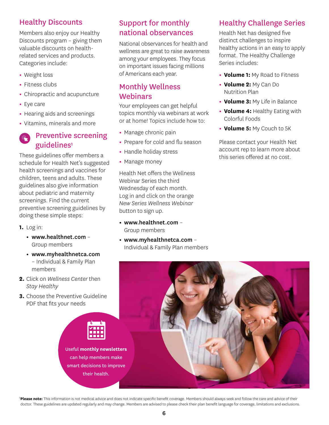# Healthy Discounts

Members also enjoy our Healthy Discounts program – giving them valuable discounts on healthrelated services and products. Categories include:

- **•** Weight loss
- **•** Fitness clubs
- **•** Chiropractic and acupuncture
- **•** Eye care
- **•** Hearing aids and screenings
- **•** Vitamins, minerals and more

# Preventive screening guidelines<sup>1</sup>

These guidelines offer members a schedule for Health Net's suggested health screenings and vaccines for children, teens and adults. These guidelines also give information about pediatric and maternity screenings. Find the current preventive screening guidelines by doing these simple steps:

- **1.** Log in:
	- **•** www.healthnet.com Group members
	- **•** www.myhealthnetca.com – Individual & Family Plan members
- **2.** Click on *Wellness Center* then *Stay Healthy*
- **3.** Choose the Preventive Guideline PDF that fits your needs



Useful **monthly newsletters**  can help members make smart decisions to improve their health.

# Support for monthly national observances

National observances for health and wellness are great to raise awareness among your employees. They focus on important issues facing millions of Americans each year.

## Monthly Wellness Webinars

Your employees can get helpful topics monthly via webinars at work or at home! Topics include how to:

- **•** Manage chronic pain
- **•** Prepare for cold and flu season
- **•** Handle holiday stress
- **•** Manage money

Health Net offers the Wellness Webinar Series the third Wednesday of each month. Log in and click on the orange *New Series Wellness Webinar*  button to sign up.

- **•** www.healthnet.com Group members
- **•** www.myhealthnetca.com Individual & Family Plan members

# Healthy Challenge Series

Health Net has designed five distinct challenges to inspire healthy actions in an easy to apply format. The Healthy Challenge Series includes:

- **• Volume 1:** My Road to Fitness
- **• Volume 2:** My Can Do Nutrition Plan
- **• Volume 3:** My Life in Balance
- **• Volume 4:** Healthy Eating with Colorful Foods
- **• Volume 5:** My Couch to 5K

Please contact your Health Net account rep to learn more about this series offered at no cost.



<sup>1</sup>Please note: This information is not medical advice and does not indicate specific benefit coverage. Members should always seek and follow the care and advice of their doctor. These guidelines are updated regularly and may change. Members are advised to please check their plan benefit language for coverage, limitations and exclusions.